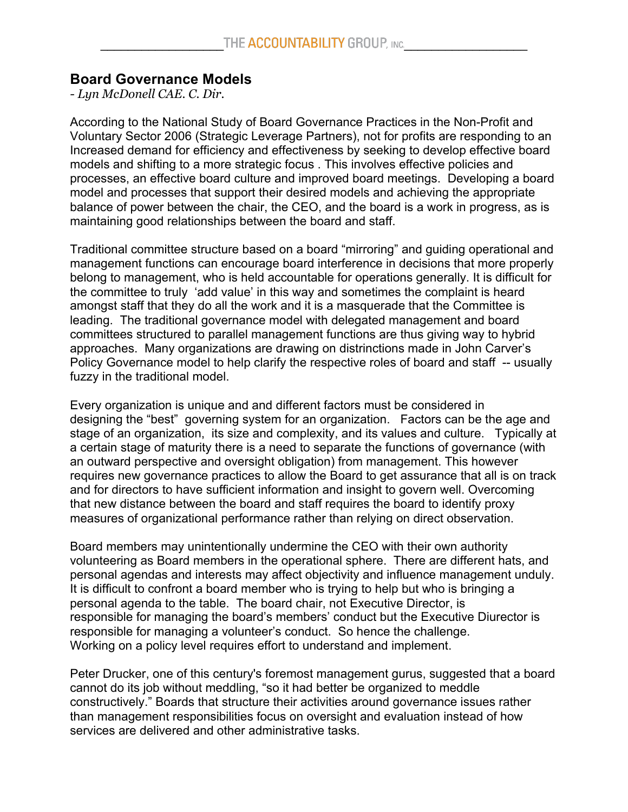## **Board Governance Models**

*- Lyn McDonell CAE. C. Dir.*

According to the National Study of Board Governance Practices in the Non-Profit and Voluntary Sector 2006 (Strategic Leverage Partners), not for profits are responding to an Increased demand for efficiency and effectiveness by seeking to develop effective board models and shifting to a more strategic focus . This involves effective policies and processes, an effective board culture and improved board meetings. Developing a board model and processes that support their desired models and achieving the appropriate balance of power between the chair, the CEO, and the board is a work in progress, as is maintaining good relationships between the board and staff.

Traditional committee structure based on a board "mirroring" and guiding operational and management functions can encourage board interference in decisions that more properly belong to management, who is held accountable for operations generally. It is difficult for the committee to truly 'add value' in this way and sometimes the complaint is heard amongst staff that they do all the work and it is a masquerade that the Committee is leading. The traditional governance model with delegated management and board committees structured to parallel management functions are thus giving way to hybrid approaches. Many organizations are drawing on distrinctions made in John Carver's Policy Governance model to help clarify the respective roles of board and staff -- usually fuzzy in the traditional model.

Every organization is unique and and different factors must be considered in designing the "best" governing system for an organization. Factors can be the age and stage of an organization, its size and complexity, and its values and culture. Typically at a certain stage of maturity there is a need to separate the functions of governance (with an outward perspective and oversight obligation) from management. This however requires new governance practices to allow the Board to get assurance that all is on track and for directors to have sufficient information and insight to govern well. Overcoming that new distance between the board and staff requires the board to identify proxy measures of organizational performance rather than relying on direct observation.

Board members may unintentionally undermine the CEO with their own authority volunteering as Board members in the operational sphere. There are different hats, and personal agendas and interests may affect objectivity and influence management unduly. It is difficult to confront a board member who is trying to help but who is bringing a personal agenda to the table. The board chair, not Executive Director, is responsible for managing the board's members' conduct but the Executive Diurector is responsible for managing a volunteer's conduct. So hence the challenge. Working on a policy level requires effort to understand and implement.

Peter Drucker, one of this century's foremost management gurus, suggested that a board cannot do its job without meddling, "so it had better be organized to meddle constructively." Boards that structure their activities around governance issues rather than management responsibilities focus on oversight and evaluation instead of how services are delivered and other administrative tasks.